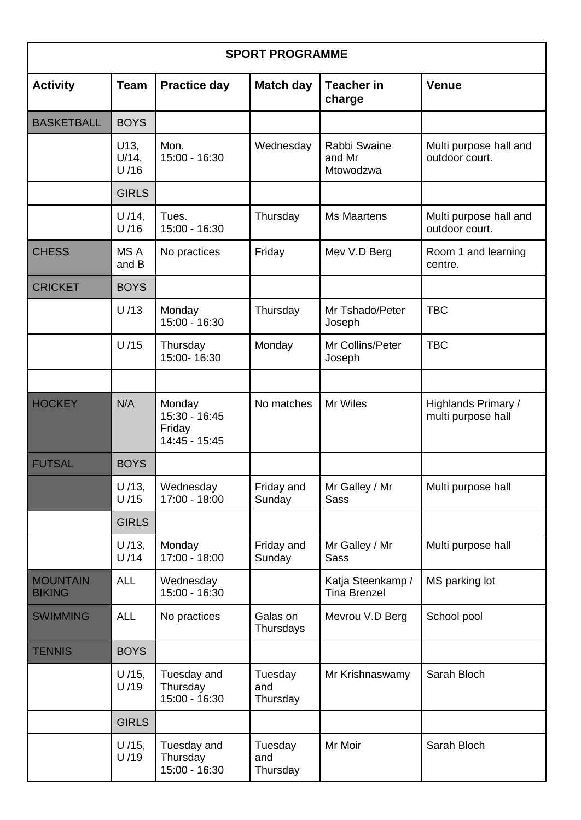| <b>SPORT PROGRAMME</b>           |                          |                                                    |                            |                                            |                                           |
|----------------------------------|--------------------------|----------------------------------------------------|----------------------------|--------------------------------------------|-------------------------------------------|
| <b>Activity</b>                  | <b>Team</b>              | <b>Practice day</b>                                | <b>Match day</b>           | <b>Teacher in</b><br>charge                | <b>Venue</b>                              |
| <b>BASKETBALL</b>                | <b>BOYS</b>              |                                                    |                            |                                            |                                           |
|                                  | U13,<br>$U/14$ ,<br>U/16 | Mon.<br>15:00 - 16:30                              | Wednesday                  | Rabbi Swaine<br>and Mr<br><b>Mtowodzwa</b> | Multi purpose hall and<br>outdoor court.  |
|                                  | <b>GIRLS</b>             |                                                    |                            |                                            |                                           |
|                                  | $U/14$ ,<br>U/16         | Tues.<br>15:00 - 16:30                             | Thursday                   | <b>Ms Maartens</b>                         | Multi purpose hall and<br>outdoor court.  |
| <b>CHESS</b>                     | MS A<br>and B            | No practices                                       | Friday                     | Mev V.D Berg                               | Room 1 and learning<br>centre.            |
| <b>CRICKET</b>                   | <b>BOYS</b>              |                                                    |                            |                                            |                                           |
|                                  | U/13                     | Monday<br>15:00 - 16:30                            | Thursday                   | Mr Tshado/Peter<br>Joseph                  | <b>TBC</b>                                |
|                                  | U/15                     | Thursday<br>15:00-16:30                            | Monday                     | Mr Collins/Peter<br>Joseph                 | <b>TBC</b>                                |
|                                  |                          |                                                    |                            |                                            |                                           |
| <b>HOCKEY</b>                    | N/A                      | Monday<br>15:30 - 16:45<br>Friday<br>14:45 - 15:45 | No matches                 | Mr Wiles                                   | Highlands Primary /<br>multi purpose hall |
| <b>FUTSAL</b>                    | <b>BOYS</b>              |                                                    |                            |                                            |                                           |
|                                  | $U/13$ ,<br>U/15         | Wednesday<br>17:00 - 18:00                         | Friday and<br>Sunday       | Mr Galley / Mr<br><b>Sass</b>              | Multi purpose hall                        |
|                                  | <b>GIRLS</b>             |                                                    |                            |                                            |                                           |
|                                  | $U/13$ ,<br>U/14         | Monday<br>17:00 - 18:00                            | Friday and<br>Sunday       | Mr Galley / Mr<br><b>Sass</b>              | Multi purpose hall                        |
| <b>MOUNTAIN</b><br><b>BIKING</b> | <b>ALL</b>               | Wednesday<br>15:00 - 16:30                         |                            | Katja Steenkamp /<br><b>Tina Brenzel</b>   | MS parking lot                            |
| <b>SWIMMING</b>                  | <b>ALL</b>               | No practices                                       | Galas on<br>Thursdays      | Mevrou V.D Berg                            | School pool                               |
| <b>TENNIS</b>                    | <b>BOYS</b>              |                                                    |                            |                                            |                                           |
|                                  | U /15,<br>U/19           | Tuesday and<br>Thursday<br>15:00 - 16:30           | Tuesday<br>and<br>Thursday | Mr Krishnaswamy                            | Sarah Bloch                               |
|                                  | <b>GIRLS</b>             |                                                    |                            |                                            |                                           |
|                                  | U /15,<br>U/19           | Tuesday and<br>Thursday<br>15:00 - 16:30           | Tuesday<br>and<br>Thursday | Mr Moir                                    | Sarah Bloch                               |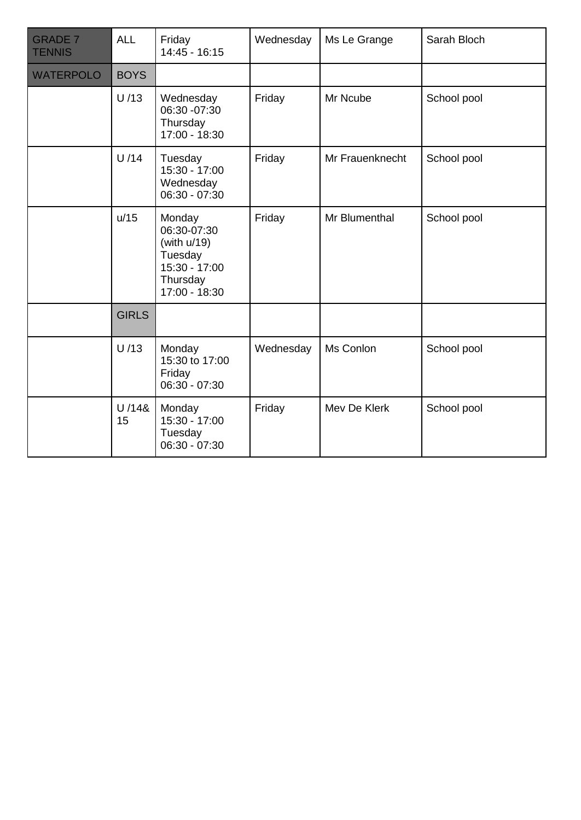| GRADE 7<br><b>TENNIS</b> | <b>ALL</b>   | Friday<br>$14:45 - 16:15$                                                                          | Wednesday | Ms Le Grange    | Sarah Bloch |
|--------------------------|--------------|----------------------------------------------------------------------------------------------------|-----------|-----------------|-------------|
| <b>WATERPOLO</b>         | <b>BOYS</b>  |                                                                                                    |           |                 |             |
|                          | U/13         | Wednesday<br>06:30 -07:30<br>Thursday<br>17:00 - 18:30                                             | Friday    | Mr Ncube        | School pool |
|                          | U/14         | Tuesday<br>15:30 - 17:00<br>Wednesday<br>$06:30 - 07:30$                                           | Friday    | Mr Frauenknecht | School pool |
|                          | u/15         | Monday<br>06:30-07:30<br>(with $u/19$ )<br>Tuesday<br>$15:30 - 17:00$<br>Thursday<br>17:00 - 18:30 | Friday    | Mr Blumenthal   | School pool |
|                          | <b>GIRLS</b> |                                                                                                    |           |                 |             |
|                          | U/13         | Monday<br>15:30 to 17:00<br>Friday<br>$06:30 - 07:30$                                              | Wednesday | Ms Conlon       | School pool |
|                          | U/148<br>15  | Monday<br>15:30 - 17:00<br>Tuesday<br>$06:30 - 07:30$                                              | Friday    | Mev De Klerk    | School pool |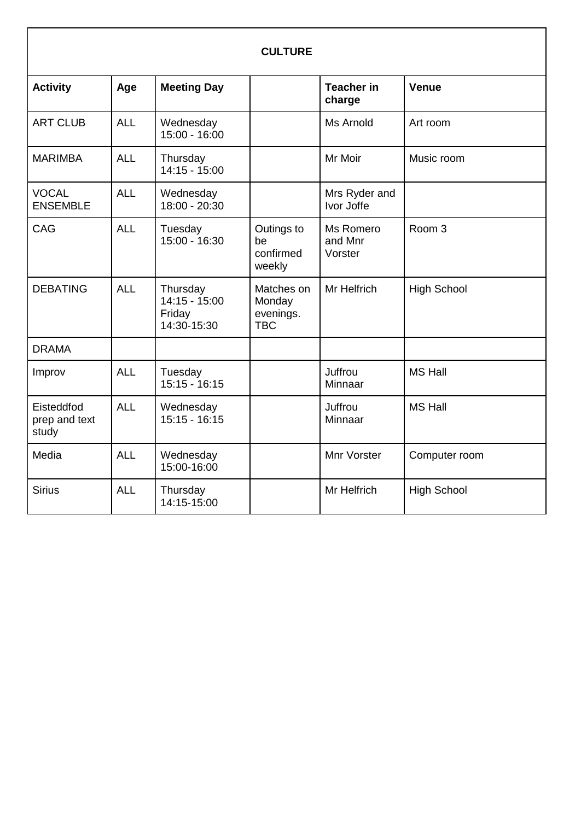| <b>CULTURE</b>                       |            |                                                      |                                                 |                                 |                    |
|--------------------------------------|------------|------------------------------------------------------|-------------------------------------------------|---------------------------------|--------------------|
| <b>Activity</b>                      | Age        | <b>Meeting Day</b>                                   |                                                 | <b>Teacher in</b><br>charge     | Venue              |
| <b>ART CLUB</b>                      | <b>ALL</b> | Wednesday<br>$15:00 - 16:00$                         |                                                 | Ms Arnold                       | Art room           |
| <b>MARIMBA</b>                       | <b>ALL</b> | Thursday<br>$14:15 - 15:00$                          |                                                 | Mr Moir                         | Music room         |
| <b>VOCAL</b><br><b>ENSEMBLE</b>      | <b>ALL</b> | Wednesday<br>18:00 - 20:30                           |                                                 | Mrs Ryder and<br>Ivor Joffe     |                    |
| CAG                                  | <b>ALL</b> | Tuesday<br>15:00 - 16:30                             | Outings to<br>be<br>confirmed<br>weekly         | Ms Romero<br>and Mnr<br>Vorster | Room <sub>3</sub>  |
| <b>DEBATING</b>                      | <b>ALL</b> | Thursday<br>$14:15 - 15:00$<br>Friday<br>14:30-15:30 | Matches on<br>Monday<br>evenings.<br><b>TBC</b> | Mr Helfrich                     | <b>High School</b> |
| <b>DRAMA</b>                         |            |                                                      |                                                 |                                 |                    |
| Improv                               | <b>ALL</b> | Tuesday<br>$15:15 - 16:15$                           |                                                 | Juffrou<br>Minnaar              | <b>MS Hall</b>     |
| Eisteddfod<br>prep and text<br>study | <b>ALL</b> | Wednesday<br>$15:15 - 16:15$                         |                                                 | Juffrou<br>Minnaar              | <b>MS Hall</b>     |
| Media                                | <b>ALL</b> | Wednesday<br>15:00-16:00                             |                                                 | Mnr Vorster                     | Computer room      |
| <b>Sirius</b>                        | <b>ALL</b> | Thursday<br>14:15-15:00                              |                                                 | Mr Helfrich                     | <b>High School</b> |